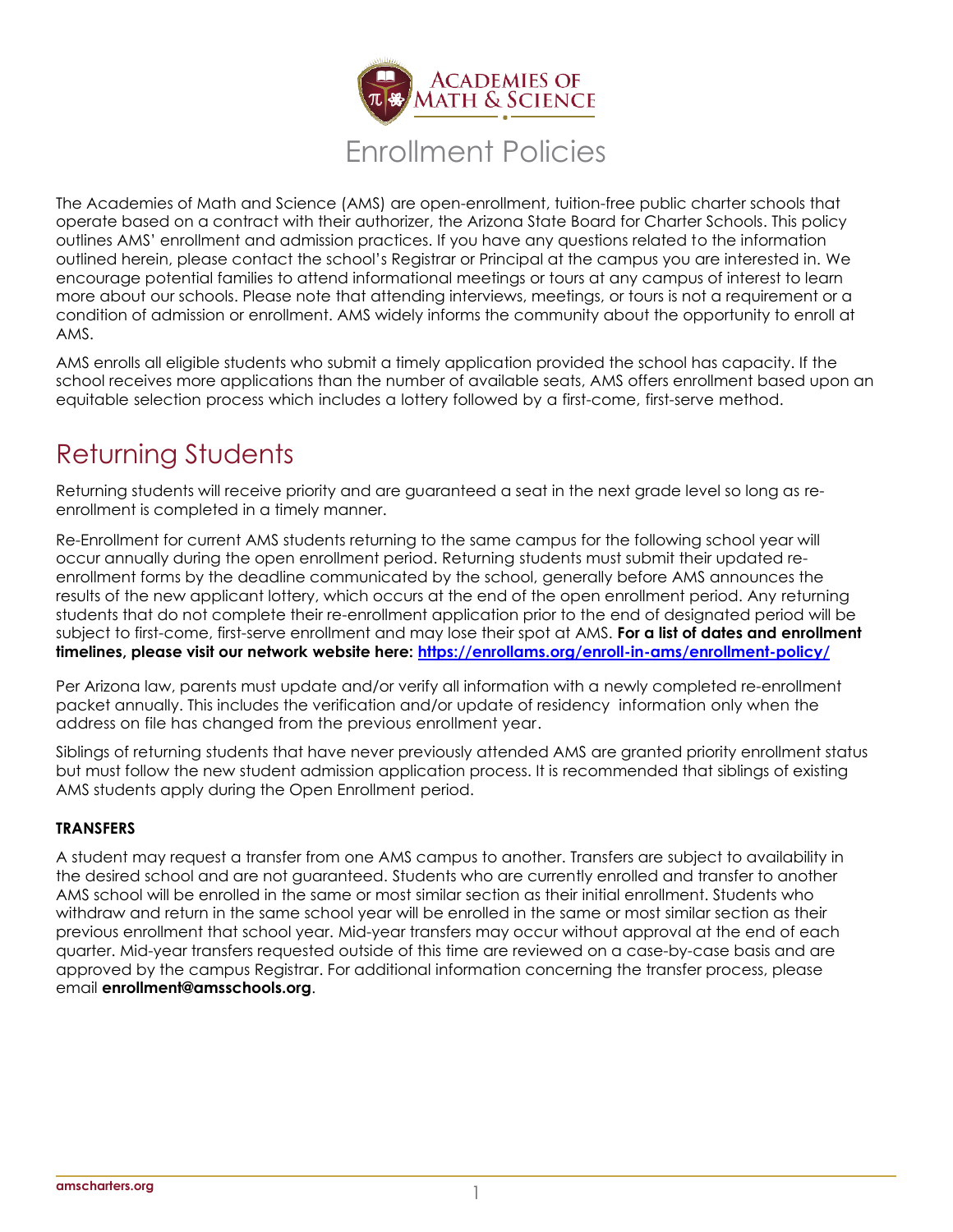

The Academies of Math and Science (AMS) are open-enrollment, tuition-free public charter schools that operate based on a contract with their authorizer, the Arizona State Board for Charter Schools. This policy outlines AMS' enrollment and admission practices. If you have any questions related to the information outlined herein, please contact the school's Registrar or Principal at the campus you are interested in. We encourage potential families to attend informational meetings or tours at any campus of interest to learn more about our schools. Please note that attending interviews, meetings, or tours is not a requirement or a condition of admission or enrollment. AMS widely informs the community about the opportunity to enroll at AMS.

AMS enrolls all eligible students who submit a timely application provided the school has capacity. If the school receives more applications than the number of available seats, AMS offers enrollment based upon an equitable selection process which includes a lottery followed by a first-come, first-serve method.

# Returning Students

Returning students will receive priority and are guaranteed a seat in the next grade level so long as reenrollment is completed in a timely manner.

Re-Enrollment for current AMS students returning to the same campus for the following school year will occur annually during the open enrollment period. Returning students must submit their updated reenrollment forms by the deadline communicated by the school, generally before AMS announces the results of the new applicant lottery, which occurs at the end of the open enrollment period. Any returning students that do not complete their re-enrollment application prior to the end of designated period will be subject to first-come, first-serve enrollment and may lose their spot at AMS. **For a list of dates and enrollment timelines, please visit our network website here:<https://enrollams.org/enroll-in-ams/enrollment-policy/>**

Per Arizona law, parents must update and/or verify all information with a newly completed re-enrollment packet annually. This includes the verification and/or update of residency information only when the address on file has changed from the previous enrollment year.

Siblings of returning students that have never previously attended AMS are granted priority enrollment status but must follow the new student admission application process. It is recommended that siblings of existing AMS students apply during the Open Enrollment period.

# **TRANSFERS**

A student may request a transfer from one AMS campus to another. Transfers are subject to availability in the desired school and are not guaranteed. Students who are currently enrolled and transfer to another AMS school will be enrolled in the same or most similar section as their initial enrollment. Students who withdraw and return in the same school year will be enrolled in the same or most similar section as their previous enrollment that school year. Mid-year transfers may occur without approval at the end of each quarter. Mid-year transfers requested outside of this time are reviewed on a case-by-case basis and are approved by the campus Registrar. For additional information concerning the transfer process, please email **[enrollment@amsschools.org](mailto:enrollment@amsschools.org)**.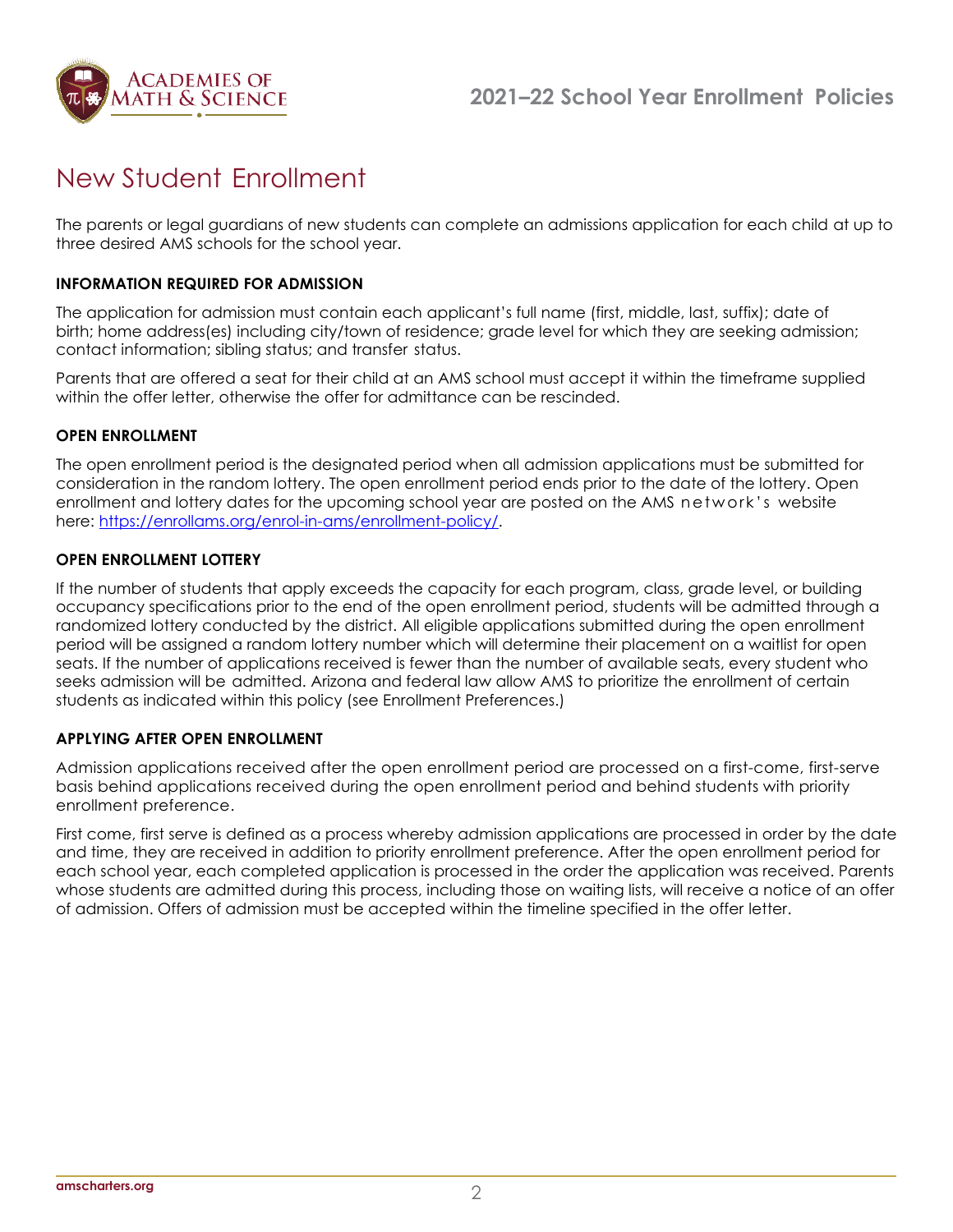

# New Student Enrollment

The parents or legal guardians of new students can complete an admissions application for each child at up to three desired AMS schools for the school year.

# **INFORMATION REQUIRED FOR ADMISSION**

The application for admission must contain each applicant's full name (first, middle, last, suffix); date of birth; home address(es) including city/town of residence; grade level for which they are seeking admission; contact information; sibling status; and transfer status.

Parents that are offered a seat for their child at an AMS school must accept it within the timeframe supplied within the offer letter, otherwise the offer for admittance can be rescinded.

#### **OPEN ENROLLMENT**

The open enrollment period is the designated period when all admission applications must be submitted for consideration in the random lottery. The open enrollment period ends prior to the date of the lottery. Open enrollment and lottery dates for the upcoming school year are posted on the AMS network's website here: [https://enrollams.org/enrol-in-ams/enrollment-policy/.](https://enrollams.org/enrol-in-ams/enrollment-policy/)

#### **OPEN ENROLLMENT LOTTERY**

If the number of students that apply exceeds the capacity for each program, class, grade level, or building occupancy specifications prior to the end of the open enrollment period, students will be admitted through a randomized lottery conducted by the district. All eligible applications submitted during the open enrollment period will be assigned a random lottery number which will determine their placement on a waitlist for open seats. If the number of applications received is fewer than the number of available seats, every student who seeks admission will be admitted. Arizona and federal law allow AMS to prioritize the enrollment of certain students as indicated within this policy (see Enrollment Preferences.)

#### **APPLYING AFTER OPEN ENROLLMENT**

Admission applications received after the open enrollment period are processed on a first-come, first-serve basis behind applications received during the open enrollment period and behind students with priority enrollment preference.

First come, first serve is defined as a process whereby admission applications are processed in order by the date and time, they are received in addition to priority enrollment preference. After the open enrollment period for each school year, each completed application is processed in the order the application was received. Parents whose students are admitted during this process, including those on waiting lists, will receive a notice of an offer of admission. Offers of admission must be accepted within the timeline specified in the offer letter.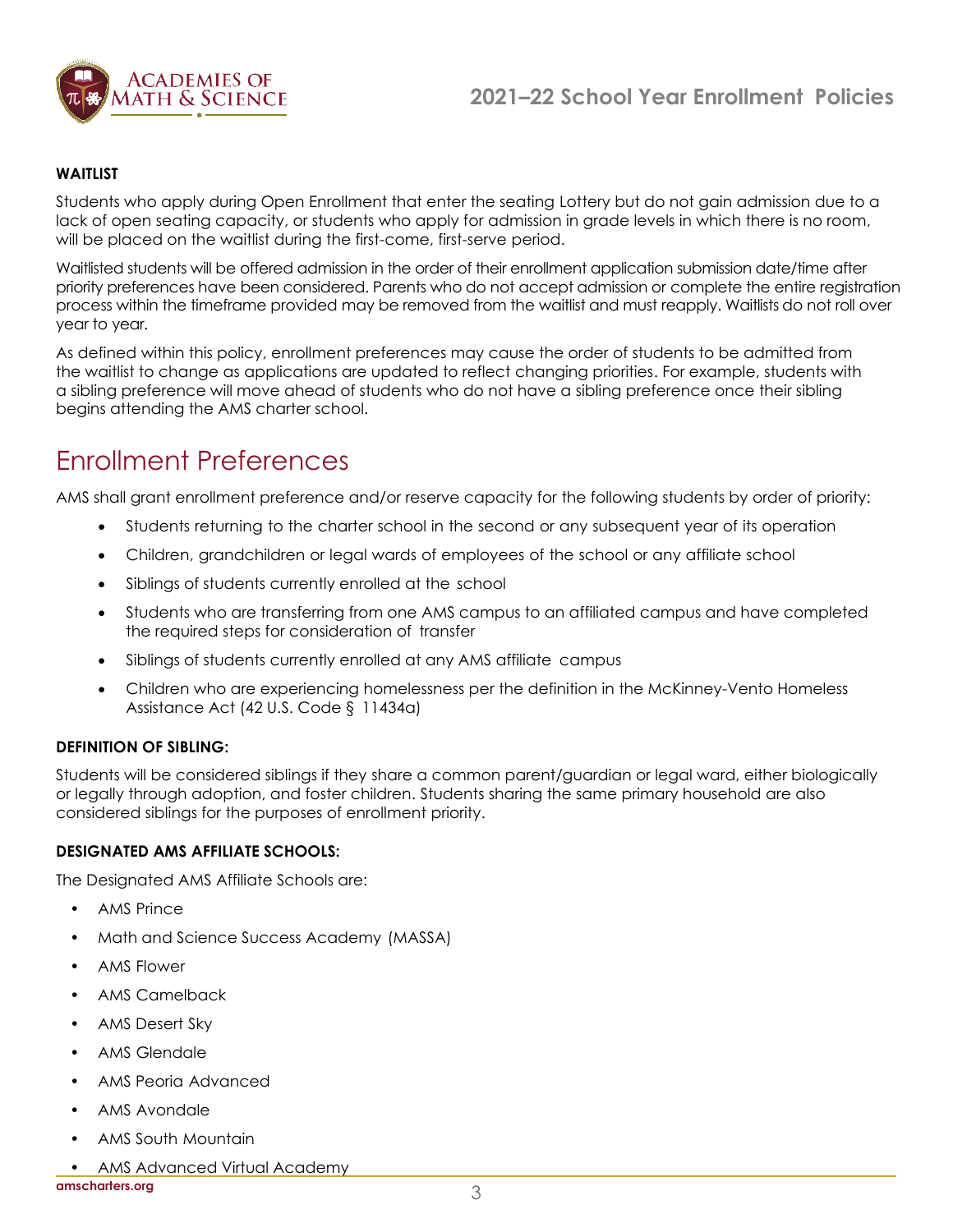

## **WAITLIST**

Students who apply during Open Enrollment that enter the seating Lottery but do not gain admission due to a lack of open seating capacity, or students who apply for admission in grade levels in which there is no room, will be placed on the waitlist during the first-come, first-serve period.

Waitlisted students will be offered admission in the order of their enrollment application submission date/time after priority preferences have been considered. Parents who do not accept admission or complete the entire registration process within the timeframe provided may be removed from the waitlist and must reapply. Waitlists do not roll over year to year.

As defined within this policy, enrollment preferences may cause the order of students to be admitted from the waitlist to change as applications are updated to reflect changing priorities. For example, students with a sibling preference will move ahead of students who do not have a sibling preference once their sibling begins attending the AMS charter school.

# Enrollment Preferences

AMS shall grant enrollment preference and/or reserve capacity for the following students by order of priority:

- Students returning to the charter school in the second or any subsequent year of its operation
- Children, grandchildren or legal wards of employees of the school or any affiliate school
- Siblings of students currently enrolled at the school
- Students who are transferring from one AMS campus to an affiliated campus and have completed the required steps for consideration of transfer
- Siblings of students currently enrolled at any AMS affiliate campus
- Children who are experiencing homelessness per the definition in the McKinney-Vento Homeless Assistance Act (42 U.S. Code § 11434a)

#### **DEFINITION OF SIBLING:**

Students will be considered siblings if they share a common parent/guardian or legal ward, either biologically or legally through adoption, and foster children. Students sharing the same primary household are also considered siblings for the purposes of enrollment priority.

#### **DESIGNATED AMS AFFILIATE SCHOOLS:**

The Designated AMS Affiliate Schools are:

- AMS Prince
- Math and Science Success Academy (MASSA)
- AMS Flower
- AMS Camelback
- AMS Desert Sky
- AMS Glendale
- AMS Peoria Advanced
- AMS Avondale
- AMS South Mountain
- AMS Advanced Virtual Academy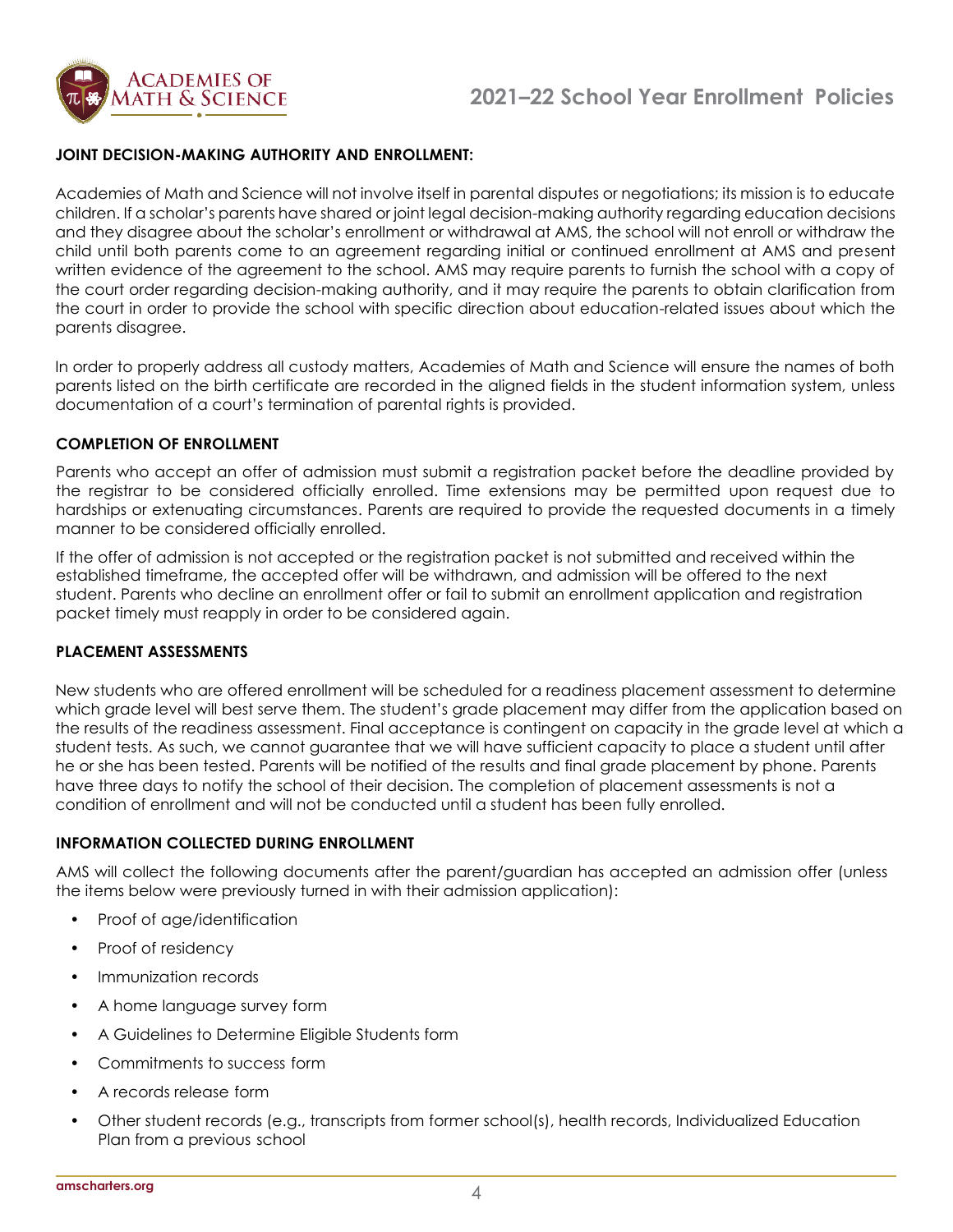

## **JOINT DECISION-MAKING AUTHORITY AND ENROLLMENT:**

Academies of Math and Science will not involve itself in parental disputes or negotiations; its mission is to educate children. If a scholar's parents have shared or joint legal decision-making authority regarding education decisions and they disagree about the scholar's enrollment or withdrawal at AMS, the school will not enroll or withdraw the child until both parents come to an agreement regarding initial or continued enrollment at AMS and present written evidence of the agreement to the school. AMS may require parents to furnish the school with a copy of the court order regarding decision-making authority, and it may require the parents to obtain clarification from the court in order to provide the school with specific direction about education-related issues about which the parents disagree.

In order to properly address all custody matters, Academies of Math and Science will ensure the names of both parents listed on the birth certificate are recorded in the aligned fields in the student information system, unless documentation of a court's termination of parental rights is provided.

#### **COMPLETION OF ENROLLMENT**

Parents who accept an offer of admission must submit a registration packet before the deadline provided by the registrar to be considered officially enrolled. Time extensions may be permitted upon request due to hardships or extenuating circumstances. Parents are required to provide the requested documents in a timely manner to be considered officially enrolled.

If the offer of admission is not accepted or the registration packet is not submitted and received within the established timeframe, the accepted offer will be withdrawn, and admission will be offered to the next student. Parents who decline an enrollment offer or fail to submit an enrollment application and registration packet timely must reapply in order to be considered again.

#### **PLACEMENT ASSESSMENTS**

New students who are offered enrollment will be scheduled for a readiness placement assessment to determine which grade level will best serve them. The student's grade placement may differ from the application based on the results of the readiness assessment. Final acceptance is contingent on capacity in the grade level at which a student tests. As such, we cannot guarantee that we will have sufficient capacity to place a student until after he or she has been tested. Parents will be notified of the results and final grade placement by phone. Parents have three days to notify the school of their decision. The completion of placement assessments is not a condition of enrollment and will not be conducted until a student has been fully enrolled.

#### **INFORMATION COLLECTED DURING ENROLLMENT**

AMS will collect the following documents after the parent/guardian has accepted an admission offer (unless the items below were previously turned in with their admission application):

- Proof of age/identification
- Proof of residency
- Immunization records
- A home language survey form
- A Guidelines to Determine Eligible Students form
- Commitments to success form
- A records release form
- Other student records (e.g., transcripts from former school(s), health records, Individualized Education Plan from a previous school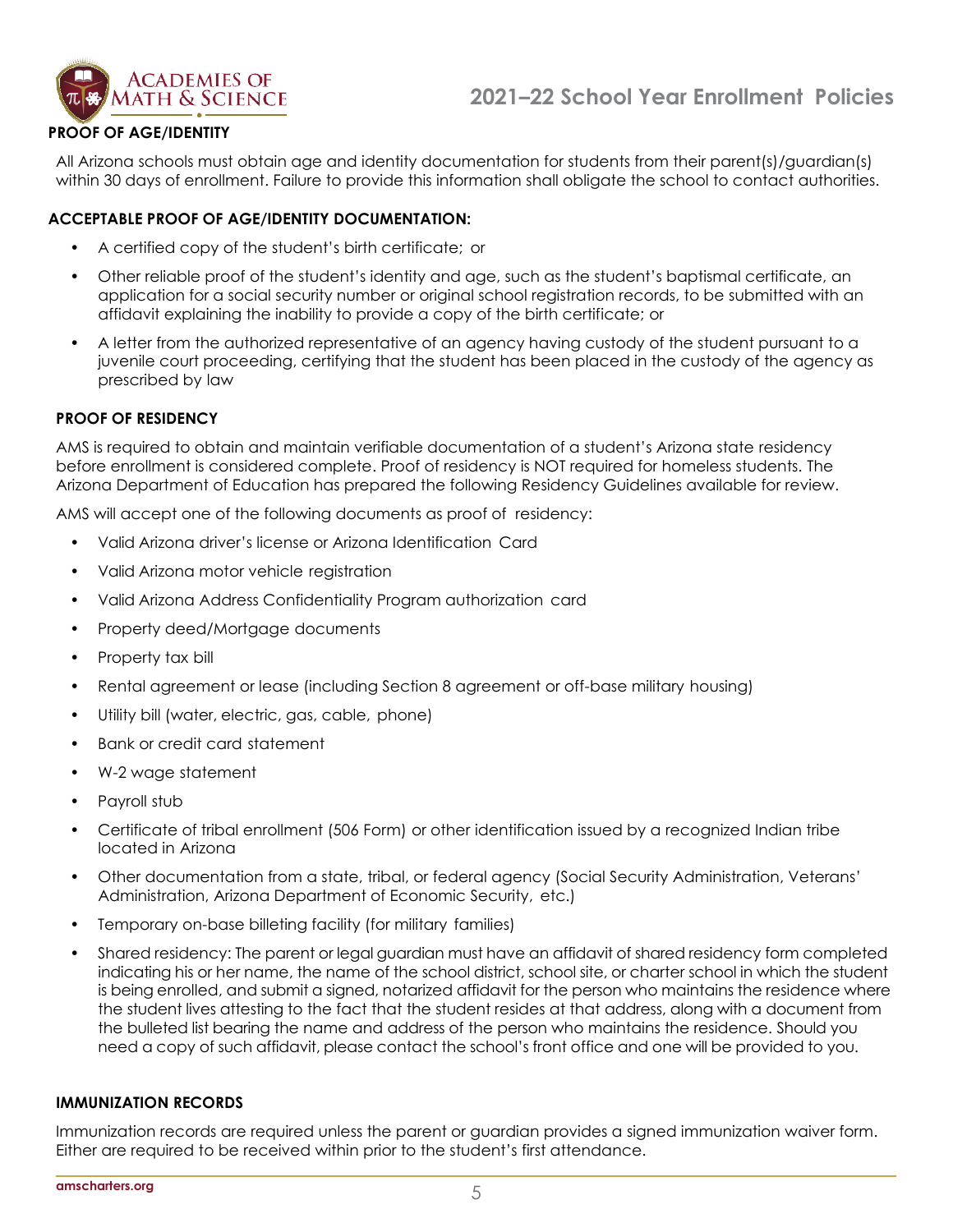

## **PROOF OF AGE/IDENTITY**

All Arizona schools must obtain age and identity documentation for students from their parent(s)/guardian(s) within 30 days of enrollment. Failure to provide this information shall obligate the school to contact authorities.

# **ACCEPTABLE PROOF OF AGE/IDENTITY DOCUMENTATION:**

- A certified copy of the student's birth certificate; or
- Other reliable proof of the student's identity and age, such as the student's baptismal certificate, an application for a social security number or original school registration records, to be submitted with an affidavit explaining the inability to provide a copy of the birth certificate; or
- A letter from the authorized representative of an agency having custody of the student pursuant to a juvenile court proceeding, certifying that the student has been placed in the custody of the agency as prescribed by law

#### **PROOF OF RESIDENCY**

AMS is required to obtain and maintain verifiable documentation of a student's Arizona state residency before enrollment is considered complete. Proof of residency is NOT required for homeless students. The Arizona Department of Education has prepared the following Residency Guidelines available for review.

AMS will accept one of the following documents as proof of residency:

- Valid Arizona driver's license or Arizona Identification Card
- Valid Arizona motor vehicle registration
- Valid Arizona Address Confidentiality Program authorization card
- Property deed/Mortgage documents
- Property tax bill
- Rental agreement or lease (including Section 8 agreement or off-base military housing)
- Utility bill (water, electric, gas, cable, phone)
- Bank or credit card statement
- W-2 wage statement
- Payroll stub
- Certificate of tribal enrollment (506 Form) or other identification issued by a recognized Indian tribe located in Arizona
- Other documentation from a state, tribal, or federal agency (Social Security Administration, Veterans' Administration, Arizona Department of Economic Security, etc.)
- Temporary on-base billeting facility (for military families)
- Shared residency: The parent or legal guardian must have an affidavit of shared residency form completed indicating his or her name, the name of the school district, school site, or charter school in which the student is being enrolled, and submit a signed, notarized affidavit for the person who maintains the residence where the student lives attesting to the fact that the student resides at that address, along with a document from the bulleted list bearing the name and address of the person who maintains the residence. Should you need a copy of such affidavit, please contact the school's front office and one will be provided to you.

#### **IMMUNIZATION RECORDS**

Immunization records are required unless the parent or guardian provides a signed immunization waiver form. Either are required to be received within prior to the student's first attendance.